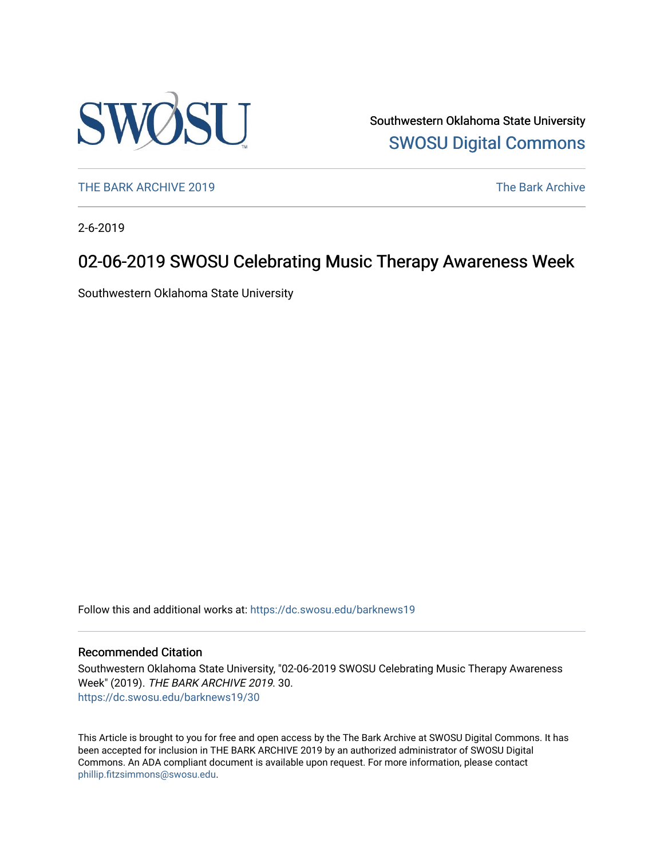

Southwestern Oklahoma State University [SWOSU Digital Commons](https://dc.swosu.edu/) 

[THE BARK ARCHIVE 2019](https://dc.swosu.edu/barknews19) The Bark Archive

2-6-2019

## 02-06-2019 SWOSU Celebrating Music Therapy Awareness Week

Southwestern Oklahoma State University

Follow this and additional works at: [https://dc.swosu.edu/barknews19](https://dc.swosu.edu/barknews19?utm_source=dc.swosu.edu%2Fbarknews19%2F30&utm_medium=PDF&utm_campaign=PDFCoverPages)

#### Recommended Citation

Southwestern Oklahoma State University, "02-06-2019 SWOSU Celebrating Music Therapy Awareness Week" (2019). THE BARK ARCHIVE 2019. 30. [https://dc.swosu.edu/barknews19/30](https://dc.swosu.edu/barknews19/30?utm_source=dc.swosu.edu%2Fbarknews19%2F30&utm_medium=PDF&utm_campaign=PDFCoverPages) 

This Article is brought to you for free and open access by the The Bark Archive at SWOSU Digital Commons. It has been accepted for inclusion in THE BARK ARCHIVE 2019 by an authorized administrator of SWOSU Digital Commons. An ADA compliant document is available upon request. For more information, please contact [phillip.fitzsimmons@swosu.edu](mailto:phillip.fitzsimmons@swosu.edu).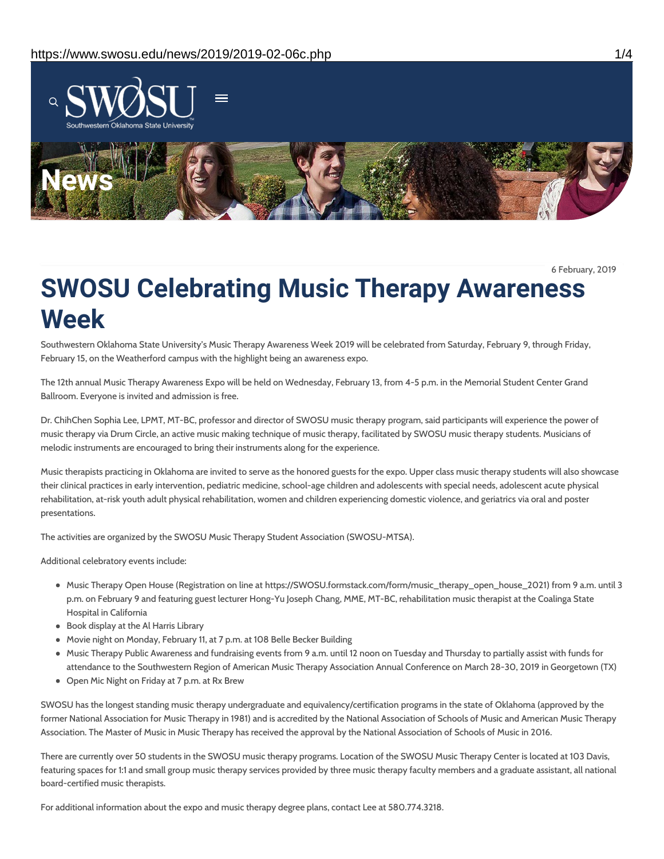

6 February, 2019

# **SWOSU Celebrating Music Therapy Awareness Week**

Southwestern Oklahoma State University's Music Therapy Awareness Week 2019 will be celebrated from Saturday, February 9, through Friday, February 15, on the Weatherford campus with the highlight being an awareness expo.

The 12th annual Music Therapy Awareness Expo will be held on Wednesday, February 13, from 4-5 p.m. in the Memorial Student Center Grand Ballroom. Everyone is invited and admission is free.

Dr. ChihChen Sophia Lee, LPMT, MT-BC, professor and director of SWOSU music therapy program, said participants will experience the power of music therapy via Drum Circle, an active music making technique of music therapy, facilitated by SWOSU music therapy students. Musicians of melodic instruments are encouraged to bring their instruments along for the experience.

Music therapists practicing in Oklahoma are invited to serve as the honored guests for the expo. Upper class music therapy students will also showcase their clinical practices in early intervention, pediatric medicine, school-age children and adolescents with special needs, adolescent acute physical rehabilitation, at-risk youth adult physical rehabilitation, women and children experiencing domestic violence, and geriatrics via oral and poster presentations.

The activities are organized by the SWOSU Music Therapy Student Association (SWOSU-MTSA).

Additional celebratory events include:

- Music Therapy Open House (Registration on line at https://SWOSU.formstack.com/form/music\_therapy\_open\_house\_2021) from 9 a.m. until 3 p.m. on February 9 and featuring guest lecturer Hong-Yu Joseph Chang, MME, MT-BC, rehabilitation music therapist at the Coalinga State Hospital in California
- Book display at the Al Harris Library
- Movie night on Monday, February 11, at 7 p.m. at 108 Belle Becker Building
- Music Therapy Public Awareness and fundraising events from 9 a.m. until 12 noon on Tuesday and Thursday to partially assist with funds for attendance to the Southwestern Region of American Music Therapy Association Annual Conference on March 28-30, 2019 in Georgetown (TX)
- Open Mic Night on Friday at 7 p.m. at Rx Brew

SWOSU has the longest standing music therapy undergraduate and equivalency/certification programs in the state of Oklahoma (approved by the former National Association for Music Therapy in 1981) and is accredited by the National Association of Schools of Music and American Music Therapy Association. The Master of Music in Music Therapy has received the approval by the National Association of Schools of Music in 2016.

There are currently over 50 students in the SWOSU music therapy programs. Location of the SWOSU Music Therapy Center is located at 103 Davis, featuring spaces for 1:1 and small group music therapy services provided by three music therapy faculty members and a graduate assistant, all national board-certified music therapists.

For additional information about the expo and music therapy degree plans, contact Lee at 580.774.3218.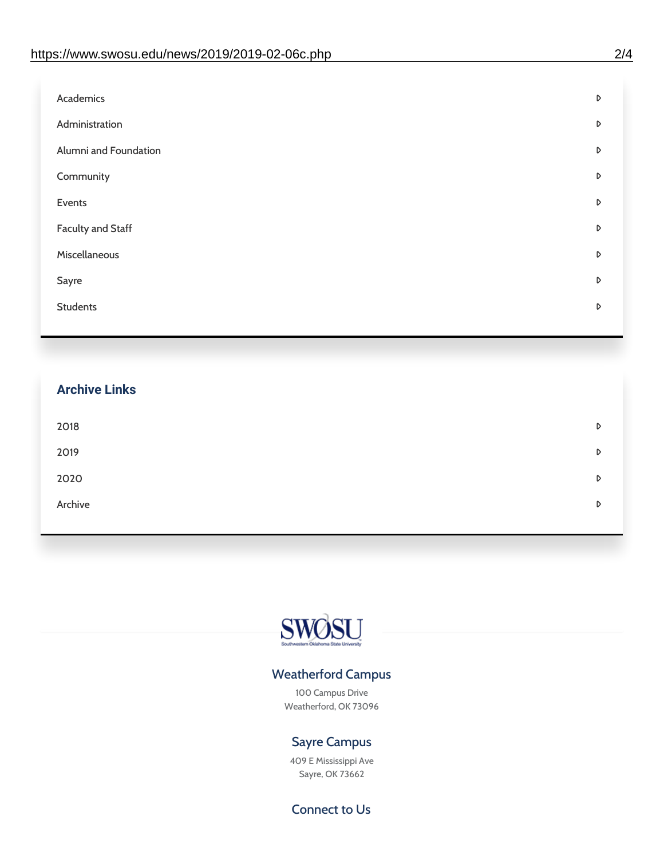| Academics             | D |
|-----------------------|---|
| Administration        | D |
| Alumni and Foundation | D |
| Community             | D |
| Events                | D |
| Faculty and Staff     | D |
| Miscellaneous         | D |
| Sayre                 | D |
| <b>Students</b>       | D |
|                       |   |

| <b>Archive Links</b> |   |
|----------------------|---|
| 2018                 | D |
| 2019                 | D |
| 2020                 | D |
| Archive              | D |
|                      |   |



#### Weatherford Campus

100 Campus Drive Weatherford, OK 73096

### Sayre Campus

409 E Mississippi Ave Sayre, OK 73662

#### Connect to Us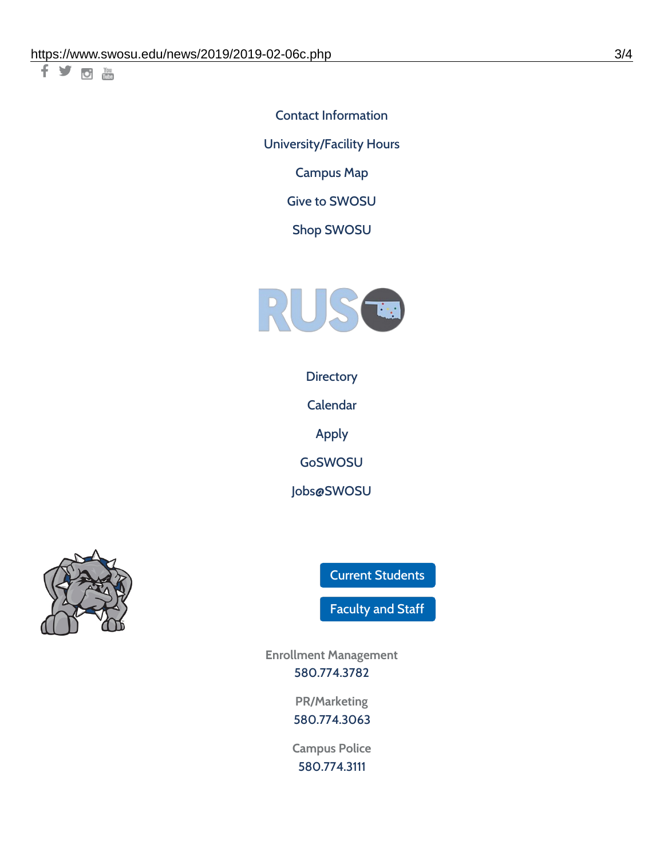千岁回调

Contact [Information](https://www.swosu.edu/about/contact.php) [University/Facility](https://www.swosu.edu/about/operating-hours.php) Hours [Campus](https://map.concept3d.com/?id=768#!ct/10964,10214,10213,10212,10205,10204,10203,10202,10136,10129,10128,0,31226,10130,10201,10641,0) Map

Give to [SWOSU](https://standingfirmly.com/donate)

Shop [SWOSU](https://shopswosu.merchorders.com/)



**[Directory](https://www.swosu.edu/directory/index.php)** 

[Calendar](https://eventpublisher.dudesolutions.com/swosu/)

[Apply](https://www.swosu.edu/admissions/apply-to-swosu.php)

[GoSWOSU](https://qlsso.quicklaunchsso.com/home/1267)

[Jobs@SWOSU](https://swosu.csod.com/ux/ats/careersite/1/home?c=swosu)



Current [Students](https://bulldog.swosu.edu/index.php)

[Faculty](https://bulldog.swosu.edu/faculty-staff/index.php) and Staff

**Enrollment Management** [580.774.3782](tel:5807743782)

> **PR/Marketing** [580.774.3063](tel:5807743063)

**Campus Police** [580.774.3111](tel:5807743111)